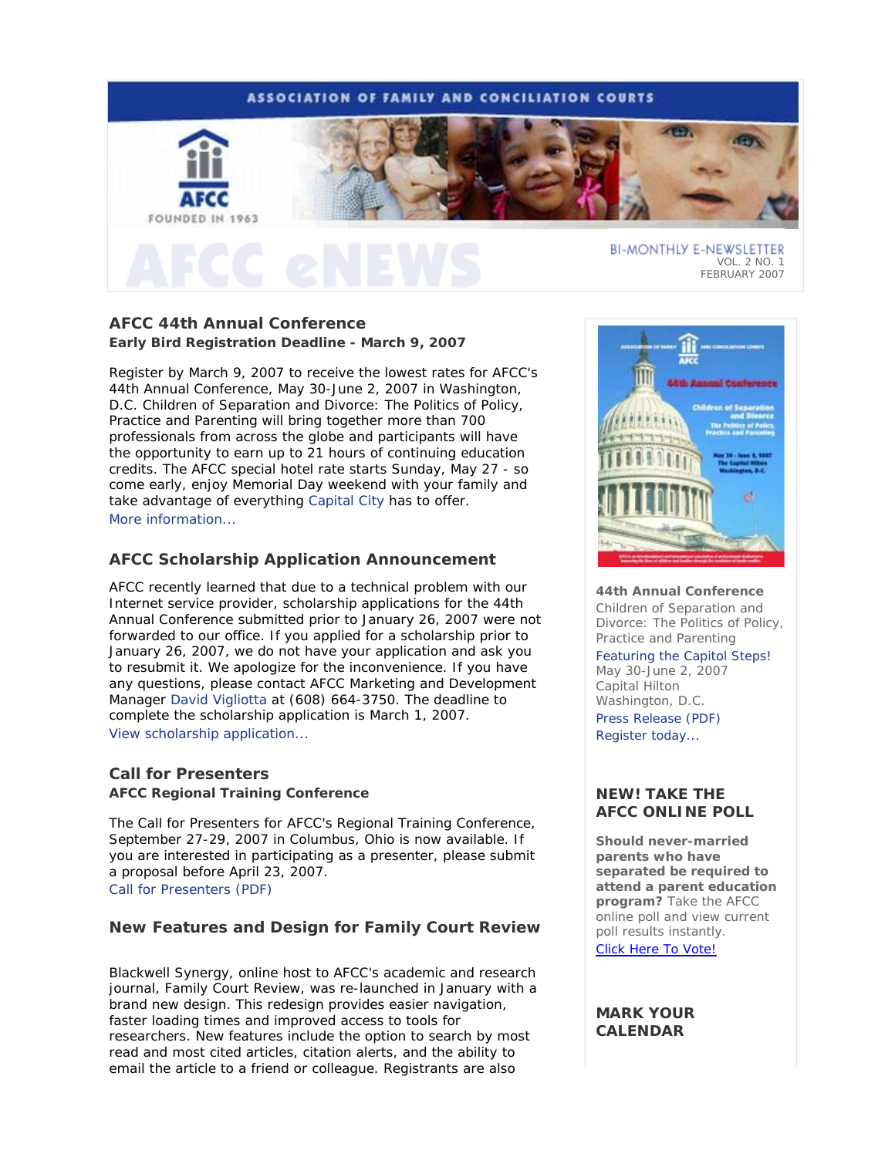## **ASSOCIATION OF FAMILY AND CONCILIATION COURTS**



**AFCC 44th Annual Conference** 

**Early Bird Registration Deadline - March 9, 2007**

Register by March 9, 2007 to receive the lowest rates for AFCC's 44th Annual Conference, May 30-June 2, 2007 in Washington, D.C. *Children of Separation and Divorce: The Politics of Policy, Practice and Parenting* will bring together more than 700 professionals from across the globe and participants will have the opportunity to earn up to 21 hours of continuing education credits. The AFCC special hotel rate starts Sunday, May 27 - so come early, enjoy Memorial Day weekend with your family and take advantage of everything Capital City has to offer. More information...

# **AFCC Scholarship Application Announcement**

AFCC recently learned that due to a technical problem with our Internet service provider, scholarship applications for the 44th Annual Conference submitted prior to January 26, 2007 were not forwarded to our office. If you applied for a scholarship prior to January 26, 2007, we do not have your application and ask you to resubmit it. We apologize for the inconvenience. If you have any questions, please contact AFCC Marketing and Development Manager David Vigliotta at (608) 664-3750. The deadline to complete the scholarship application is March 1, 2007. View scholarship application...

# **Call for Presenters AFCC Regional Training Conference**

The Call for Presenters for AFCC's Regional Training Conference, September 27-29, 2007 in Columbus, Ohio is now available. If you are interested in participating as a presenter, please submit a proposal before April 23, 2007. Call for Presenters (PDF)

# **New Features and Design for Family Court Review**

Blackwell Synergy, online host to AFCC's academic and research journal, *Family Court Review*, was re-launched in January with a brand new design. This redesign provides easier navigation, faster loading times and improved access to tools for researchers. New features include the option to search by most read and most cited articles, citation alerts, and the ability to email the article to a friend or colleague. Registrants are also



FEBRUARY 2007

**44th Annual Conference** *Children of Separation and Divorce: The Politics of Policy,*

*Practice and Parenting* Featuring the Capitol Steps! May 30-June 2, 2007

Capital Hilton Washington, D.C. Press Release (PDF) Register today...

# *NEW!* **TAKE THE AFCC ONLINE POLL**

**Should never-married parents who have separated be required to attend a parent education program?** Take the AFCC online poll and view current poll results instantly. Click Here To Vote!

## **MARK YOUR CALENDAR**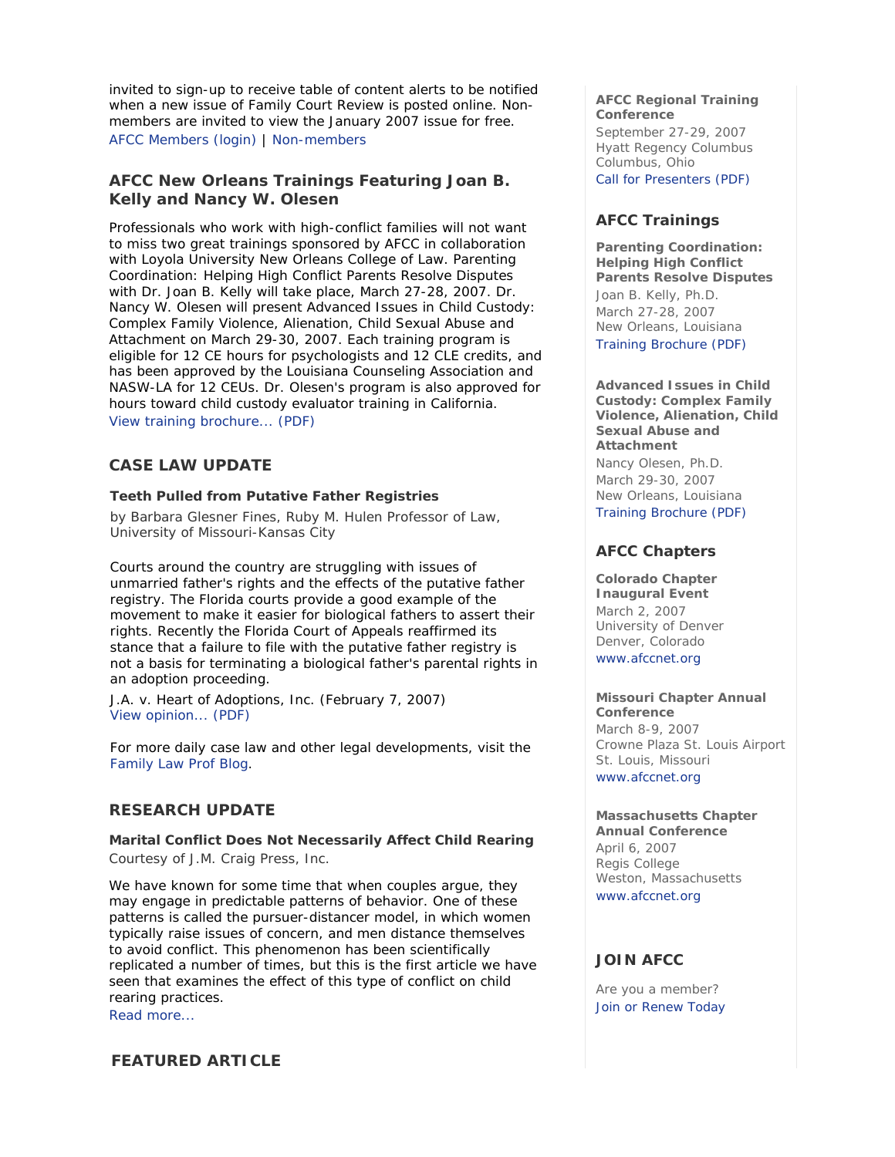invited to sign-up to receive table of content alerts to be notified when a new issue of *Family Court Review* is posted online. Nonmembers are invited to view the January 2007 issue for free. AFCC Members (login) | Non-members

# **AFCC New Orleans Trainings Featuring Joan B. Kelly and Nancy W. Olesen**

Professionals who work with high-conflict families will not want to miss two great trainings sponsored by AFCC in collaboration with Loyola University New Orleans College of Law. *Parenting Coordination: Helping High Conflict Parents Resolve Disputes* with Dr. Joan B. Kelly will take place, March 27-28, 2007. Dr. Nancy W. Olesen will present *Advanced Issues in Child Custody: Complex Family Violence, Alienation, Child Sexual Abuse and Attachment* on March 29-30, 2007. Each training program is eligible for 12 CE hours for psychologists and 12 CLE credits, and has been approved by the Louisiana Counseling Association and NASW-LA for 12 CEUs. Dr. Olesen's program is also approved for hours toward child custody evaluator training in California. View training brochure... (PDF)

# **CASE LAW UPDATE**

### **Teeth Pulled from Putative Father Registries**

*by Barbara Glesner Fines, Ruby M. Hulen Professor of Law, University of Missouri-Kansas City*

Courts around the country are struggling with issues of unmarried father's rights and the effects of the putative father registry. The Florida courts provide a good example of the movement to make it easier for biological fathers to assert their rights. Recently the Florida Court of Appeals reaffirmed its stance that a failure to file with the putative father registry is not a basis for terminating a biological father's parental rights in an adoption proceeding.

J.A. v. Heart of Adoptions, Inc. (February 7, 2007) View opinion... (PDF)

For more daily case law and other legal developments, visit the Family Law Prof Blog.

## **RESEARCH UPDATE**

**Marital Conflict Does Not Necessarily Affect Child Rearing** *Courtesy of J.M. Craig Press, Inc.*

We have known for some time that when couples argue, they may engage in predictable patterns of behavior. One of these patterns is called the pursuer-distancer model, in which women typically raise issues of concern, and men distance themselves to avoid conflict. This phenomenon has been scientifically replicated a number of times, but this is the first article we have seen that examines the effect of this type of conflict on child rearing practices.

Read more...

# **FEATURED ARTICLE**

### **AFCC Regional Training Conference**

September 27-29, 2007 Hyatt Regency Columbus Columbus, Ohio Call for Presenters (PDF)

# **AFCC Trainings**

**Parenting Coordination: Helping High Conflict Parents Resolve Disputes** *Joan B. Kelly, Ph.D.* March 27-28, 2007 New Orleans, Louisiana Training Brochure (PDF)

**Advanced Issues in Child Custody: Complex Family Violence, Alienation, Child Sexual Abuse and Attachment** *Nancy Olesen, Ph.D.* March 29-30, 2007 New Orleans, Louisiana Training Brochure (PDF)

# **AFCC Chapters**

**Colorado Chapter Inaugural Event** March 2, 2007 University of Denver Denver, Colorado www.afccnet.org

#### **Missouri Chapter Annual Conference**

March 8-9, 2007 Crowne Plaza St. Louis Airport St. Louis, Missouri

www.afccnet.org

## **Massachusetts Chapter**

**Annual Conference** April 6, 2007 Regis College Weston, Massachusetts www.afccnet.org

# **JOIN AFCC**

Are you a member? Join or Renew Today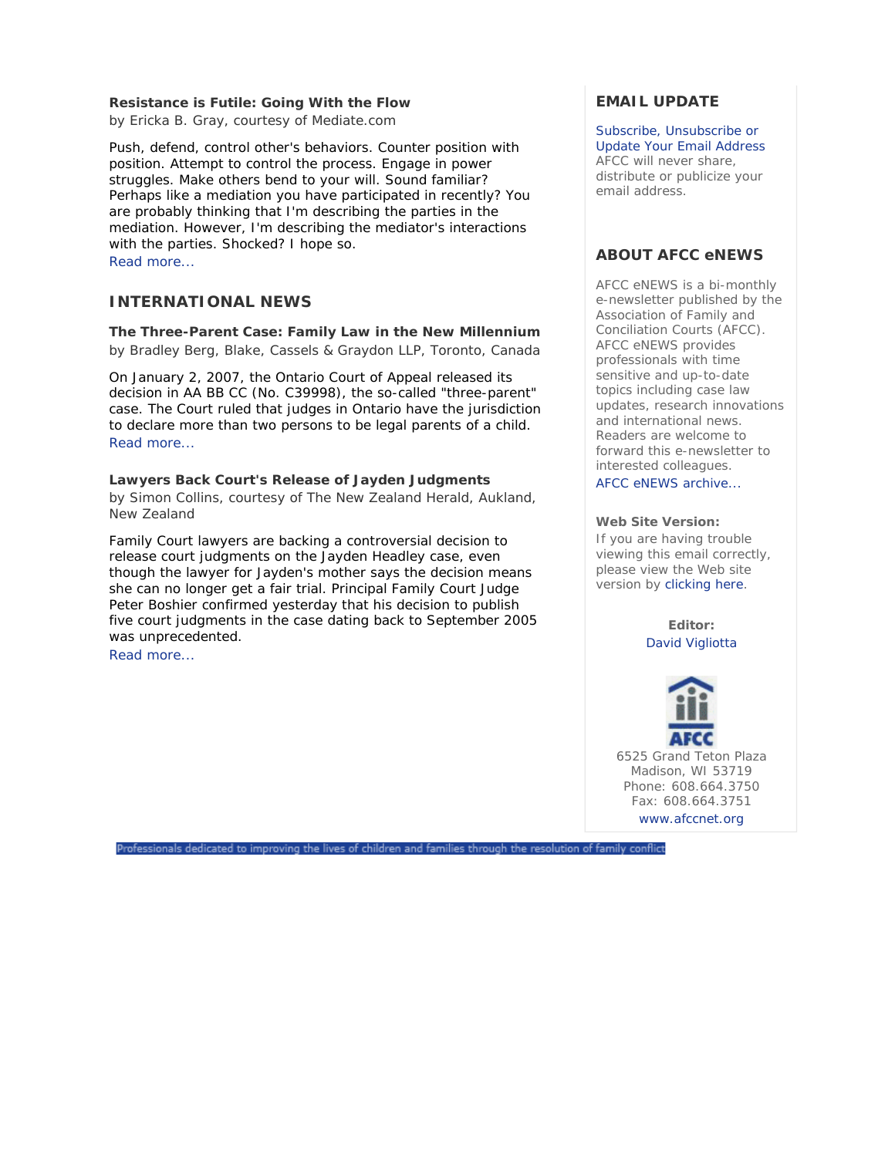### **Resistance is Futile: Going With the Flow**

*by Ericka B. Gray, courtesy of Mediate.com*

Push, defend, control other's behaviors. Counter position with position. Attempt to control the process. Engage in power struggles. Make others bend to your will. Sound familiar? Perhaps like a mediation you have participated in recently? You are probably thinking that I'm describing the parties in the mediation. However, I'm describing the mediator's interactions with the parties. Shocked? I hope so. Read more...

## **INTERNATIONAL NEWS**

### **The Three-Parent Case: Family Law in the New Millennium**

*by Bradley Berg, Blake, Cassels & Graydon LLP, Toronto, Canada*

On January 2, 2007, the Ontario Court of Appeal released its decision in AA BB CC (No. C39998), the so-called "three-parent" case. The Court ruled that judges in Ontario have the jurisdiction to declare more than two persons to be legal parents of a child. Read more...

## **Lawyers Back Court's Release of Jayden Judgments**

*by Simon Collins, courtesy of The New Zealand Herald, Aukland, New Zealand*

Family Court lawyers are backing a controversial decision to release court judgments on the Jayden Headley case, even though the lawyer for Jayden's mother says the decision means she can no longer get a fair trial. Principal Family Court Judge Peter Boshier confirmed yesterday that his decision to publish five court judgments in the case dating back to September 2005 was unprecedented.

Read more...

# **EMAIL UPDATE**

Subscribe, Unsubscribe or Update Your Email Address AFCC will never share, distribute or publicize your email address.

## **ABOUT AFCC eNEWS**

*AFCC eNEWS* is a bi-monthly e-newsletter published by the Association of Family and Conciliation Courts (AFCC). *AFCC eNEWS* provides professionals with time sensitive and up-to-date topics including case law updates, research innovations and international news. Readers are welcome to forward this e-newsletter to interested colleagues.

AFCC eNEWS archive...

### **Web Site Version:**

If you are having trouble viewing this email correctly, please view the Web site version by clicking here.

> **Editor:** David Vigliotta



Professionals dedicated to improving the lives of children and families through the resolution of family conflict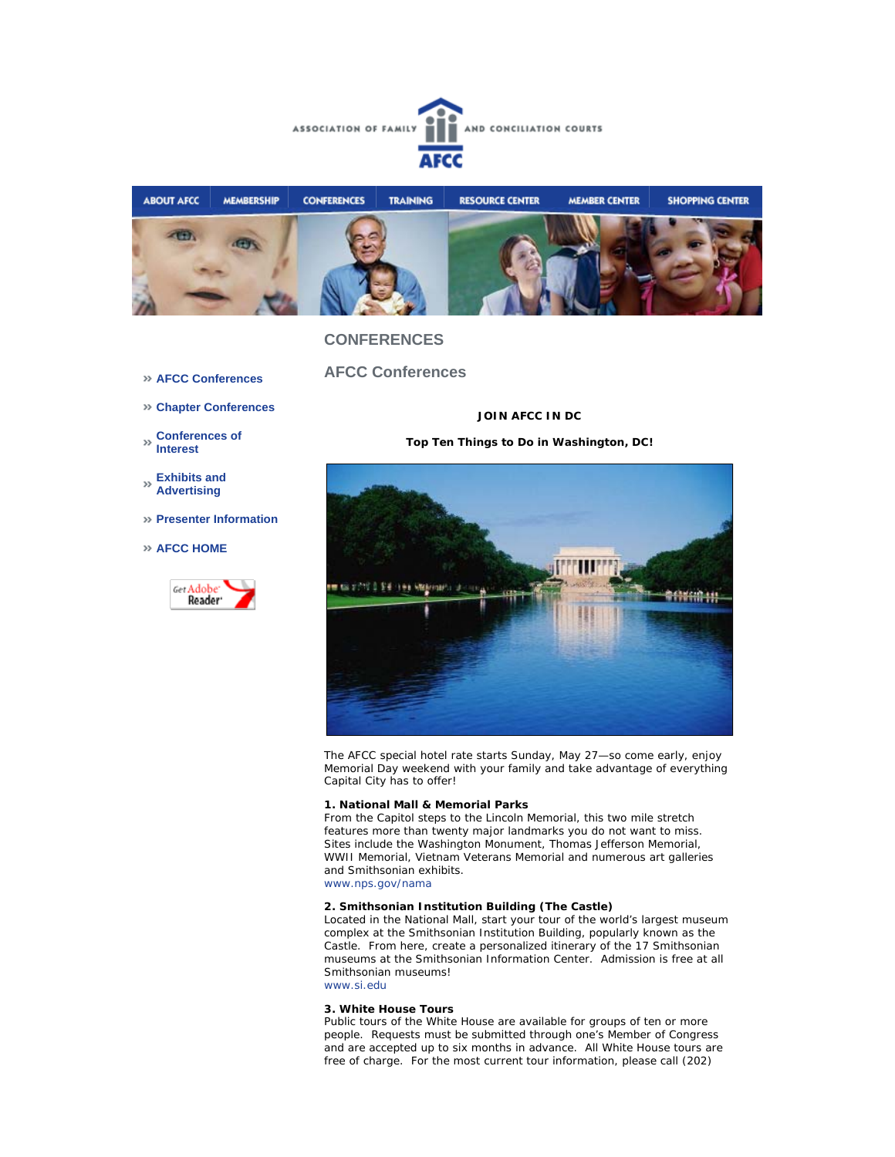



## **CONFERENCES**

- **AFCC Conferences**
- **Chapter Conferences**

**Conferences of Interest** 

- **Exhibits and Advertising**
- **Presenter Information**
- **AFCC HOME**



**AFCC Conferences** 

### **JOIN AFCC IN DC**

**Top Ten Things to Do in Washington, DC!** 



The AFCC special hotel rate starts Sunday, May 27—so come early, enjoy Memorial Day weekend with your family and take advantage of everything Capital City has to offer!

#### **1. National Mall & Memorial Parks**

From the Capitol steps to the Lincoln Memorial, this two mile stretch features more than twenty major landmarks you do not want to miss. Sites include the Washington Monument, Thomas Jefferson Memorial, WWII Memorial, Vietnam Veterans Memorial and numerous art galleries and Smithsonian exhibits. www.nps.gov/nama

### **2. Smithsonian Institution Building (The Castle)**

Located in the National Mall, start your tour of the world's largest museum complex at the Smithsonian Institution Building, popularly known as the Castle. From here, create a personalized itinerary of the 17 Smithsonian museums at the Smithsonian Information Center. Admission is free at all Smithsonian museums! www.si.edu

#### **3. White House Tours**

Public tours of the White House are available for groups of ten or more people. Requests must be submitted through one's Member of Congress and are accepted up to six months in advance. All White House tours are free of charge. For the most current tour information, please call (202)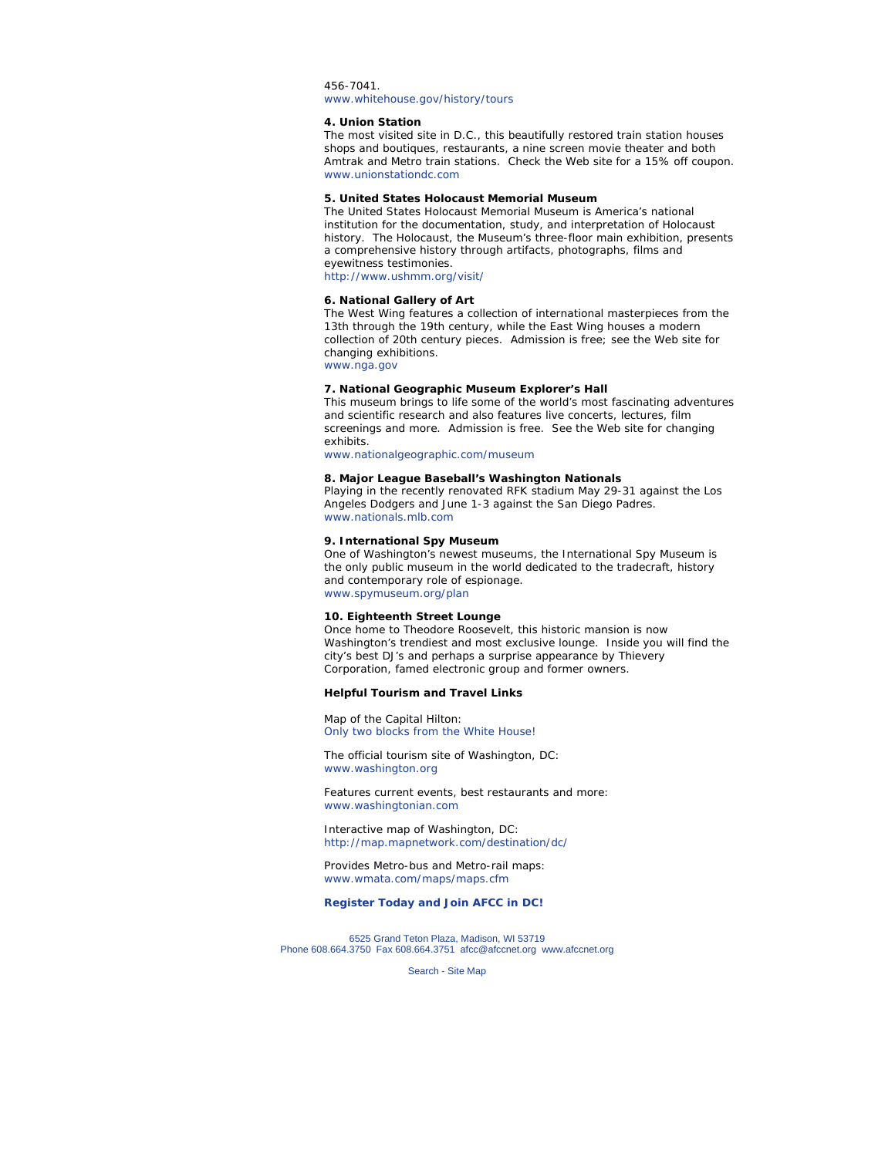#### 456-7041. www.whitehouse.gov/history/tours

#### **4. Union Station**

The most visited site in D.C., this beautifully restored train station houses shops and boutiques, restaurants, a nine screen movie theater and both Amtrak and Metro train stations. Check the Web site for a 15% off coupon. www.unionstationdc.com

### **5. United States Holocaust Memorial Museum**

The United States Holocaust Memorial Museum is America's national institution for the documentation, study, and interpretation of Holocaust history. The Holocaust, the Museum's three-floor main exhibition, presents a comprehensive history through artifacts, photographs, films and eyewitness testimonies.

http://www.ushmm.org/visit/

### **6. National Gallery of Art**

The West Wing features a collection of international masterpieces from the 13th through the 19th century, while the East Wing houses a modern collection of 20th century pieces. Admission is free; see the Web site for changing exhibitions.

www.nga.gov

#### **7. National Geographic Museum Explorer's Hall**

This museum brings to life some of the world's most fascinating adventures and scientific research and also features live concerts, lectures, film screenings and more. Admission is free. See the Web site for changing exhibits.

www.nationalgeographic.com/museum

### **8. Major League Baseball's Washington Nationals**

Playing in the recently renovated RFK stadium May 29-31 against the Los Angeles Dodgers and June 1-3 against the San Diego Padres. www.nationals.mlb.com

#### **9. International Spy Museum**

One of Washington's newest museums, the International Spy Museum is the only public museum in the world dedicated to the tradecraft, history and contemporary role of espionage. www.spymuseum.org/plan

#### **10. Eighteenth Street Lounge**

Once home to Theodore Roosevelt, this historic mansion is now Washington's trendiest and most exclusive lounge. Inside you will find the city's best DJ's and perhaps a surprise appearance by Thievery Corporation, famed electronic group and former owners.

#### *Helpful Tourism and Travel Links*

Map of the Capital Hilton: Only two blocks from the White House!

The official tourism site of Washington, DC: www.washington.org

Features current events, best restaurants and more: www.washingtonian.com

Interactive map of Washington, DC: http://map.mapnetwork.com/destination/dc/

Provides Metro-bus and Metro-rail maps: www.wmata.com/maps/maps.cfm

#### **Register Today and Join AFCC in DC!**

6525 Grand Teton Plaza, Madison, WI 53719 Phone 608.664.3750 Fax 608.664.3751 afcc@afccnet.org www.afccnet.org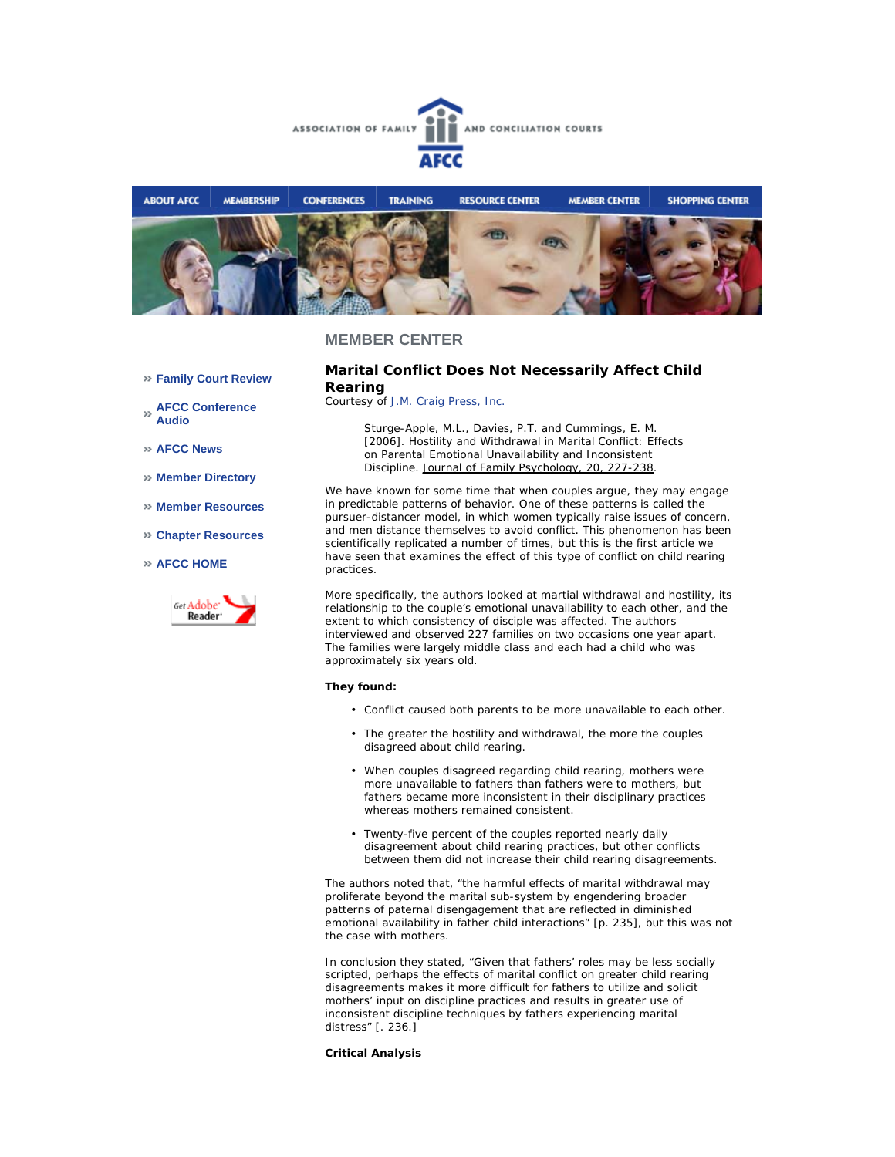



### **MEMBER CENTER**

**Family Court Review** 

**AFCC Conference Audio** 

**AFCC News** 

- **Member Directory**
- **Member Resources**
- **Chapter Resources**

### **AFCC HOME**



## **Marital Conflict Does Not Necessarily Affect Child Rearing**

*Courtesy of J.M. Craig Press, Inc.*

Sturge-Apple, M.L., Davies, P.T. and Cummings, E. M. [2006]. Hostility and Withdrawal in Marital Conflict: Effects on Parental Emotional Unavailability and Inconsistent Discipline. Journal of Family Psychology, 20, 227-238.

We have known for some time that when couples argue, they may engage in predictable patterns of behavior. One of these patterns is called the pursuer-distancer model, in which women typically raise issues of concern, and men distance themselves to avoid conflict. This phenomenon has been scientifically replicated a number of times, but this is the first article we have seen that examines the effect of this type of conflict on child rearing practices.

More specifically, the authors looked at martial withdrawal and hostility, its relationship to the couple's emotional unavailability to each other, and the extent to which consistency of disciple was affected. The authors interviewed and observed 227 families on two occasions one year apart. The families were largely middle class and each had a child who was approximately six years old.

#### **They found:**

- Conflict caused both parents to be more unavailable to each other.
- The greater the hostility and withdrawal, the more the couples disagreed about child rearing.
- When couples disagreed regarding child rearing, mothers were more unavailable to fathers than fathers were to mothers, but fathers became more inconsistent in their disciplinary practices whereas mothers remained consistent.
- Twenty-five percent of the couples reported nearly daily disagreement about child rearing practices, but other conflicts between them did not increase their child rearing disagreements. •

The authors noted that, "the harmful effects of marital withdrawal may proliferate beyond the marital sub-system by engendering broader patterns of paternal disengagement that are reflected in diminished emotional availability in father child interactions" [p. 235], but this was not the case with mothers.

In conclusion they stated, "Given that fathers' roles may be less socially scripted, perhaps the effects of marital conflict on greater child rearing disagreements makes it more difficult for fathers to utilize and solicit mothers' input on discipline practices and results in greater use of inconsistent discipline techniques by fathers experiencing marital distress" [. 236.]

#### **Critical Analysis**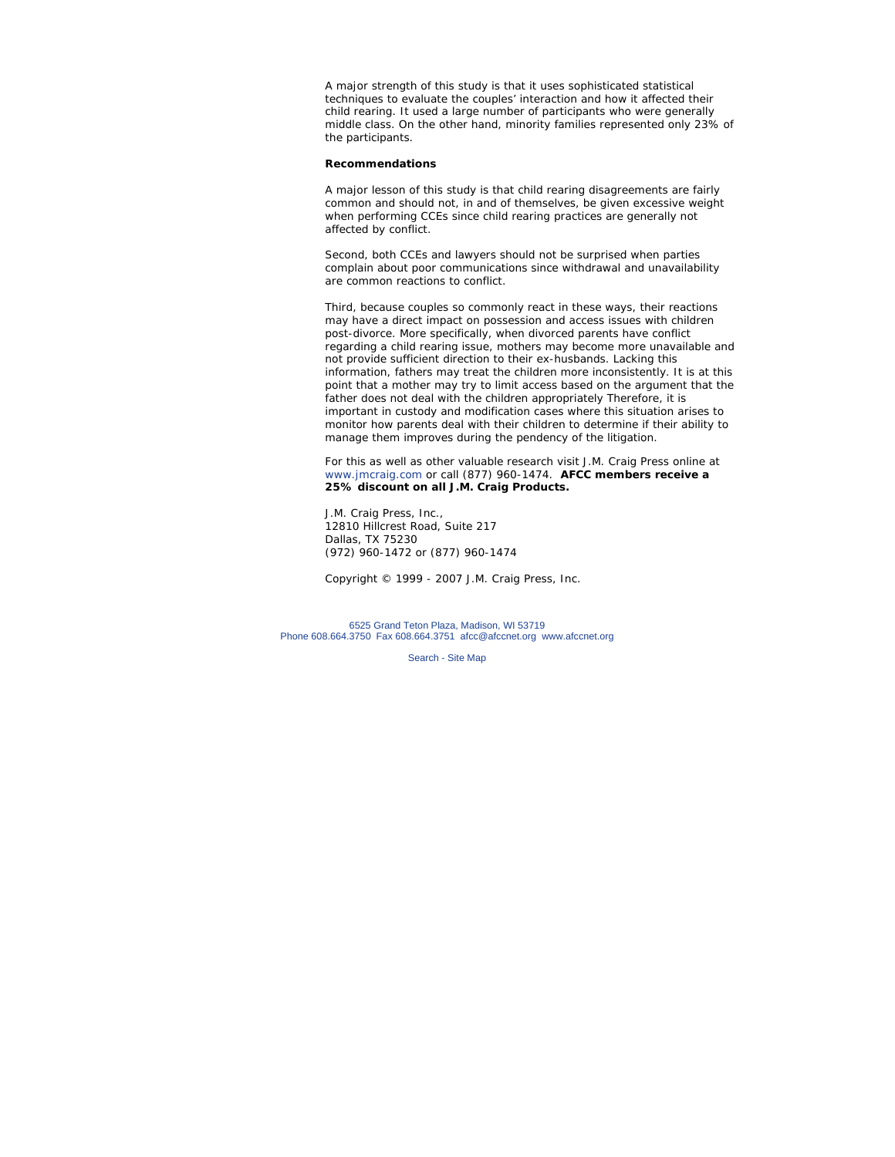A major strength of this study is that it uses sophisticated statistical techniques to evaluate the couples' interaction and how it affected their child rearing. It used a large number of participants who were generally middle class. On the other hand, minority families represented only 23% of the participants.

### **Recommendations**

A major lesson of this study is that child rearing disagreements are fairly common and should not, in and of themselves, be given excessive weight when performing CCEs since child rearing practices are generally not affected by conflict.

Second, both CCEs and lawyers should not be surprised when parties complain about poor communications since withdrawal and unavailability are common reactions to conflict.

Third, because couples so commonly react in these ways, their reactions may have a direct impact on possession and access issues with children post-divorce. More specifically, when divorced parents have conflict regarding a child rearing issue, mothers may become more unavailable and not provide sufficient direction to their ex-husbands. Lacking this information, fathers may treat the children more inconsistently. It is at this point that a mother may try to limit access based on the argument that the father does not deal with the children appropriately Therefore, it is important in custody and modification cases where this situation arises to monitor how parents deal with their children to determine if their ability to manage them improves during the pendency of the litigation.

For this as well as other valuable research visit J.M. Craig Press online at www.jmcraig.com or call (877) 960-1474. **AFCC members receive a 25% discount on all J.M. Craig Products.**

J.M. Craig Press, Inc., 12810 Hillcrest Road, Suite 217 Dallas, TX 75230 (972) 960-1472 or (877) 960-1474

*Copyright © 1999 - 2007 J.M. Craig Press, Inc.*

6525 Grand Teton Plaza, Madison, WI 53719 Phone 608.664.3750 Fax 608.664.3751 afcc@afccnet.org www.afccnet.org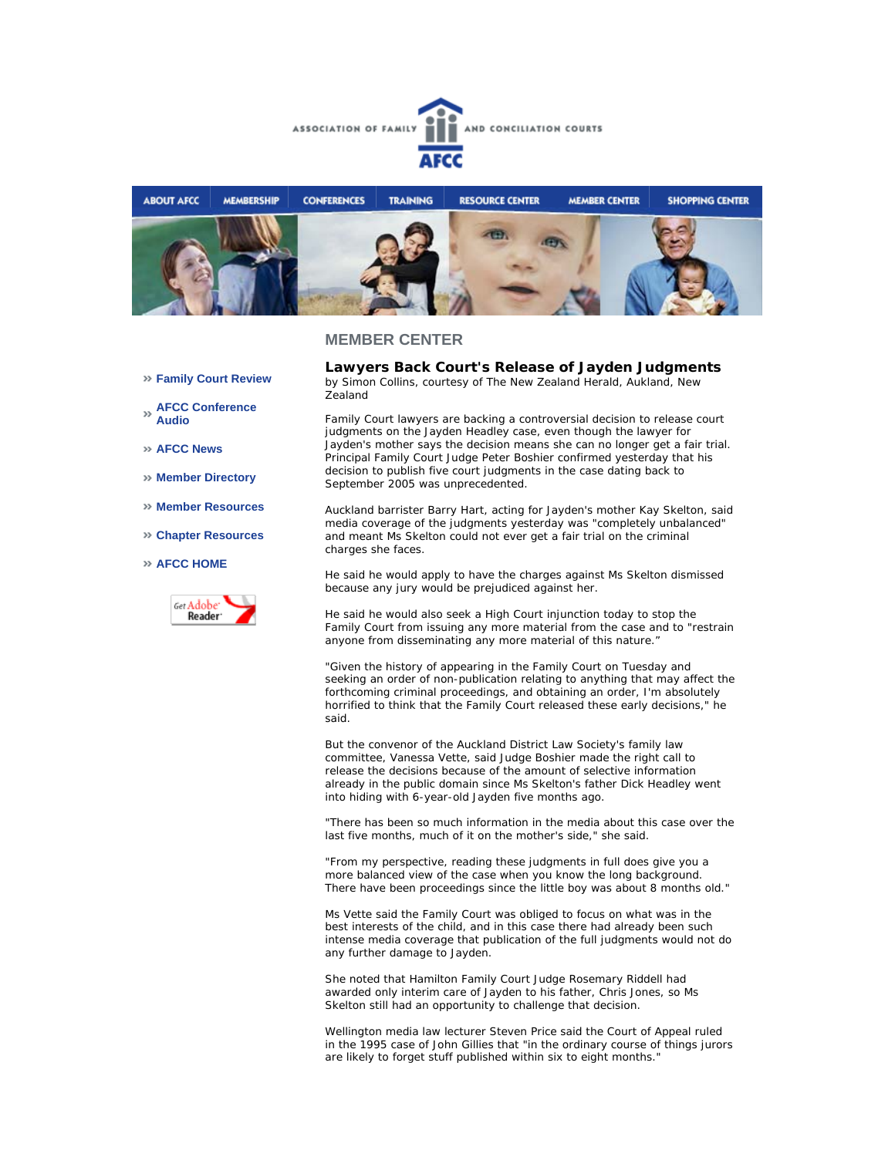



### **MEMBER CENTER**

- **Family Court Review**
- **AFCC Conference Audio**
- **AFCC News**
- **Member Directory**
- **Member Resources**
- **Chapter Resources**
- **AFCC HOME**



**Lawyers Back Court's Release of Jayden Judgments** *by Simon Collins, courtesy of The New Zealand Herald, Aukland, New Zealand*

Family Court lawyers are backing a controversial decision to release court judgments on the Jayden Headley case, even though the lawyer for Jayden's mother says the decision means she can no longer get a fair trial. Principal Family Court Judge Peter Boshier confirmed yesterday that his decision to publish five court judgments in the case dating back to September 2005 was unprecedented.

Auckland barrister Barry Hart, acting for Jayden's mother Kay Skelton, said media coverage of the judgments yesterday was "completely unbalanced" and meant Ms Skelton could not ever get a fair trial on the criminal charges she faces.

He said he would apply to have the charges against Ms Skelton dismissed because any jury would be prejudiced against her.

He said he would also seek a High Court injunction today to stop the Family Court from issuing any more material from the case and to "restrain anyone from disseminating any more material of this nature."

"Given the history of appearing in the Family Court on Tuesday and seeking an order of non-publication relating to anything that may affect the forthcoming criminal proceedings, and obtaining an order, I'm absolutely horrified to think that the Family Court released these early decisions," he said.

But the convenor of the Auckland District Law Society's family law committee, Vanessa Vette, said Judge Boshier made the right call to release the decisions because of the amount of selective information already in the public domain since Ms Skelton's father Dick Headley went into hiding with 6-year-old Jayden five months ago.

"There has been so much information in the media about this case over the last five months, much of it on the mother's side," she said.

"From my perspective, reading these judgments in full does give you a more balanced view of the case when you know the long background. There have been proceedings since the little boy was about 8 months old."

Ms Vette said the Family Court was obliged to focus on what was in the best interests of the child, and in this case there had already been such intense media coverage that publication of the full judgments would not do any further damage to Jayden.

She noted that Hamilton Family Court Judge Rosemary Riddell had awarded only interim care of Jayden to his father, Chris Jones, so Ms Skelton still had an opportunity to challenge that decision.

Wellington media law lecturer Steven Price said the Court of Appeal ruled in the 1995 case of John Gillies that "in the ordinary course of things jurors are likely to forget stuff published within six to eight months."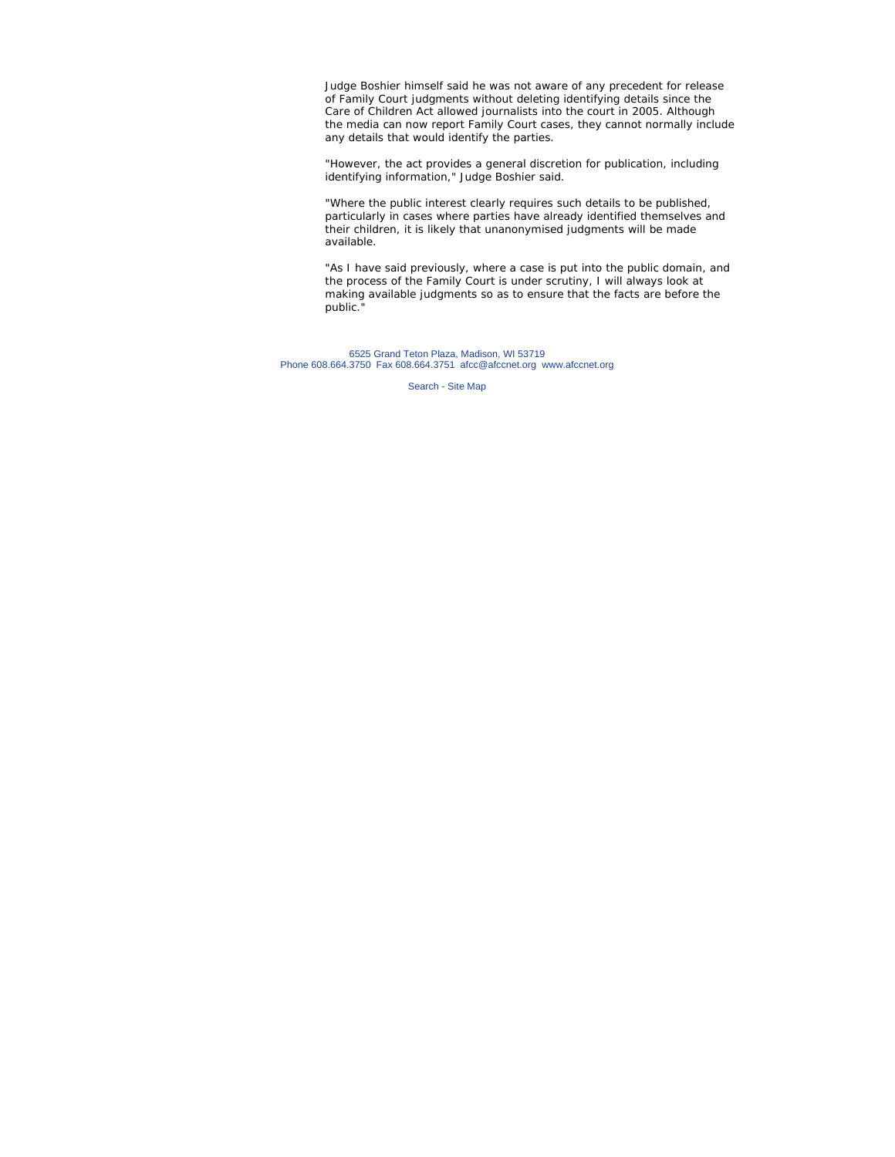Judge Boshier himself said he was not aware of any precedent for release of Family Court judgments without deleting identifying details since the Care of Children Act allowed journalists into the court in 2005. Although the media can now report Family Court cases, they cannot normally include any details that would identify the parties.

"However, the act provides a general discretion for publication, including identifying information," Judge Boshier said.

"Where the public interest clearly requires such details to be published, particularly in cases where parties have already identified themselves and their children, it is likely that unanonymised judgments will be made available.

"As I have said previously, where a case is put into the public domain, and the process of the Family Court is under scrutiny, I will always look at making available judgments so as to ensure that the facts are before the public."

6525 Grand Teton Plaza, Madison, WI 53719 Phone 608.664.3750 Fax 608.664.3751 afcc@afccnet.org www.afccnet.org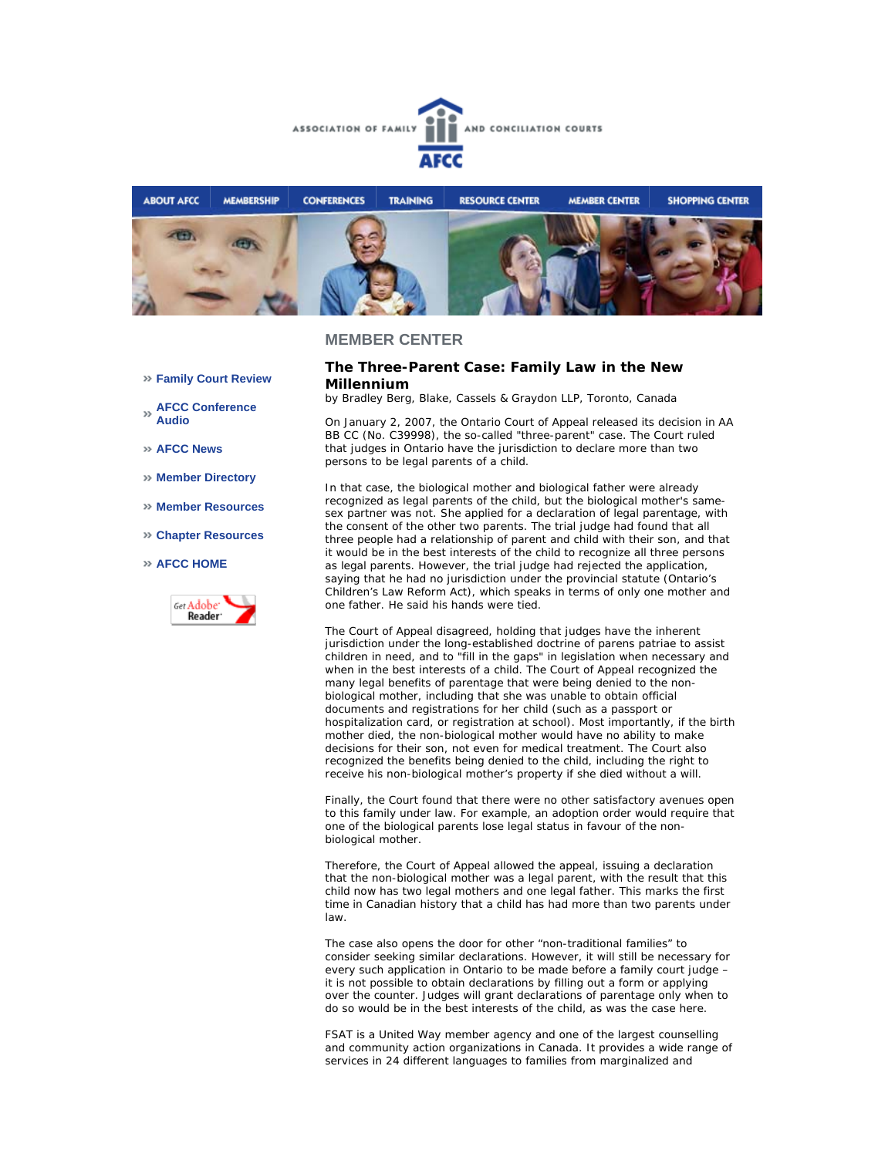



### **MEMBER CENTER**

### **The Three-Parent Case: Family Law in the New Millennium**

*by Bradley Berg, Blake, Cassels & Graydon LLP, Toronto, Canada*

On January 2, 2007, the Ontario Court of Appeal released its decision in *AA BB CC* (No. C39998), the so-called "three-parent" case. The Court ruled that judges in Ontario have the jurisdiction to declare more than two persons to be legal parents of a child.

In that case, the biological mother and biological father were already recognized as legal parents of the child, but the biological mother's samesex partner was not. She applied for a declaration of legal parentage, with the consent of the other two parents. The trial judge had found that all three people had a relationship of parent and child with their son, and that it would be in the best interests of the child to recognize all three persons as legal parents. However, the trial judge had rejected the application, saying that he had no jurisdiction under the provincial statute (Ontario's *Children's Law Reform Act*), which speaks in terms of only one mother and one father. He said his hands were tied.

The Court of Appeal disagreed, holding that judges have the inherent jurisdiction under the long-established doctrine of *parens patriae* to assist children in need, and to "fill in the gaps" in legislation when necessary and when in the best interests of a child. The Court of Appeal recognized the many legal benefits of parentage that were being denied to the nonbiological mother, including that she was unable to obtain official documents and registrations for her child (such as a passport or hospitalization card, or registration at school). Most importantly, if the birth mother died, the non-biological mother would have no ability to make decisions for their son, not even for medical treatment. The Court also recognized the benefits being denied to the child, including the right to receive his non-biological mother's property if she died without a will.

Finally, the Court found that there were no other satisfactory avenues open to this family under law. For example, an adoption order would require that one of the biological parents lose legal status in favour of the nonbiological mother.

Therefore, the Court of Appeal allowed the appeal, issuing a declaration that the non-biological mother was a legal parent, with the result that this child now has two legal mothers and one legal father. This marks the first time in Canadian history that a child has had more than two parents under law.

The case also opens the door for other "non-traditional families" to consider seeking similar declarations. However, it will still be necessary for every such application in Ontario to be made before a family court judge – it is not possible to obtain declarations by filling out a form or applying over the counter. Judges will grant declarations of parentage only when to do so would be in the best interests of the child, as was the case here.

FSAT is a United Way member agency and one of the largest counselling and community action organizations in Canada. It provides a wide range of services in 24 different languages to families from marginalized and

- **Family Court Review**
- **AFCC Conference Audio**
- **AFCC News**
- **Member Directory**
- **Member Resources**
- **Chapter Resources**

### **AFCC HOME**